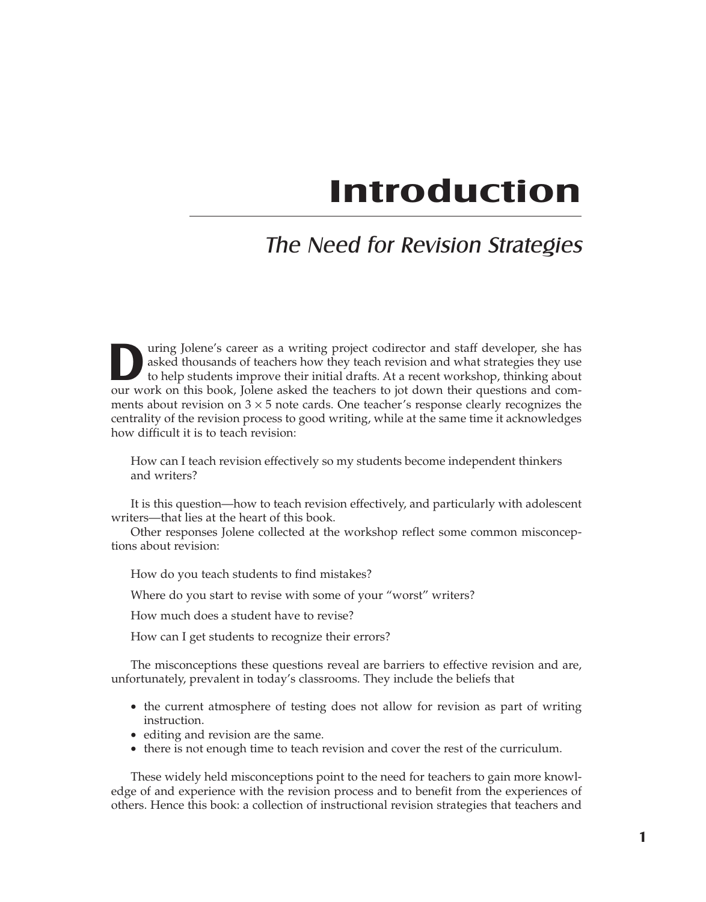# **Introduction**

# The Need for Revision Strategies

UP uring Jolene's career as a writing project codirector and staff developer, she has asked thousands of teachers how they teach revision and what strategies they use to help students improve their initial drafts. At a rec asked thousands of teachers how they teach revision and what strategies they use our work on this book, Jolene asked the teachers to jot down their questions and comments about revision on  $3 \times 5$  note cards. One teacher's response clearly recognizes the centrality of the revision process to good writing, while at the same time it acknowledges how difficult it is to teach revision:

How can I teach revision effectively so my students become independent thinkers and writers?

It is this question—how to teach revision effectively, and particularly with adolescent writers—that lies at the heart of this book.

Other responses Jolene collected at the workshop reflect some common misconceptions about revision:

How do you teach students to find mistakes?

Where do you start to revise with some of your "worst" writers?

How much does a student have to revise?

How can I get students to recognize their errors?

The misconceptions these questions reveal are barriers to effective revision and are, unfortunately, prevalent in today's classrooms. They include the beliefs that

- the current atmosphere of testing does not allow for revision as part of writing instruction.
- editing and revision are the same.
- there is not enough time to teach revision and cover the rest of the curriculum.

These widely held misconceptions point to the need for teachers to gain more knowledge of and experience with the revision process and to benefit from the experiences of others. Hence this book: a collection of instructional revision strategies that teachers and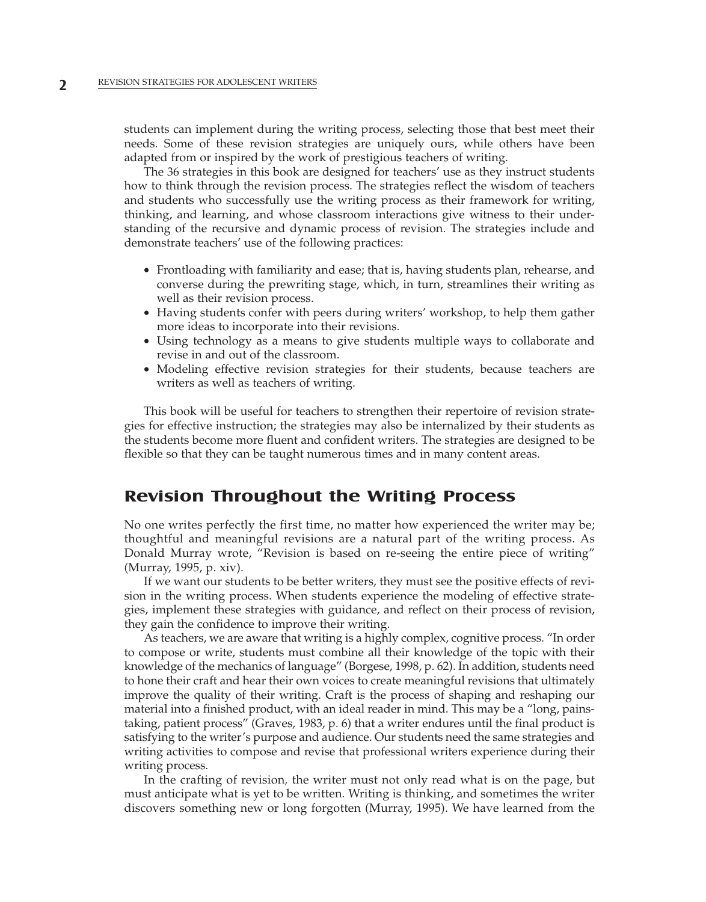students can implement during the writing process, selecting those that best meet their needs. Some of these revision strategies are uniquely ours, while others have been adapted from or inspired by the work of prestigious teachers of writing.

The 36 strategies in this book are designed for teachers' use as they instruct students how to think through the revision process. The strategies reflect the wisdom of teachers and students who successfully use the writing process as their framework for writing, thinking, and learning, and whose classroom interactions give witness to their understanding of the recursive and dynamic process of revision. The strategies include and demonstrate teachers' use of the following practices:

- Frontloading with familiarity and ease; that is, having students plan, rehearse, and converse during the prewriting stage, which, in turn, streamlines their writing as well as their revision process.
- Having students confer with peers during writers' workshop, to help them gather more ideas to incorporate into their revisions.
- Using technology as a means to give students multiple ways to collaborate and revise in and out of the classroom.
- Modeling effective revision strategies for their students, because teachers are writers as well as teachers of writing.

This book will be useful for teachers to strengthen their repertoire of revision strategies for effective instruction; the strategies may also be internalized by their students as the students become more fluent and confident writers. The strategies are designed to be flexible so that they can be taught numerous times and in many content areas.

#### **Revision Throughout the Writing Process**

No one writes perfectly the first time, no matter how experienced the writer may be; thoughtful and meaningful revisions are a natural part of the writing process. As Donald Murray wrote, "Revision is based on re-seeing the entire piece of writing" (Murray, 1995, p. xiv).

If we want our students to be better writers, they must see the positive effects of revision in the writing process. When students experience the modeling of effective strategies, implement these strategies with guidance, and reflect on their process of revision, they gain the confidence to improve their writing.

As teachers, we are aware that writing is a highly complex, cognitive process. "In order to compose or write, students must combine all their knowledge of the topic with their knowledge of the mechanics of language" (Borgese, 1998, p. 62). In addition, students need to hone their craft and hear their own voices to create meaningful revisions that ultimately improve the quality of their writing. Craft is the process of shaping and reshaping our material into a finished product, with an ideal reader in mind. This may be a "long, painstaking, patient process" (Graves, 1983, p. 6) that a writer endures until the final product is satisfying to the writer's purpose and audience. Our students need the same strategies and writing activities to compose and revise that professional writers experience during their writing process.

In the crafting of revision*,* the writer must not only read what is on the page, but must anticipate what is yet to be written*.* Writing is thinking, and sometimes the writer discovers something new or long forgotten (Murray, 1995). We have learned from the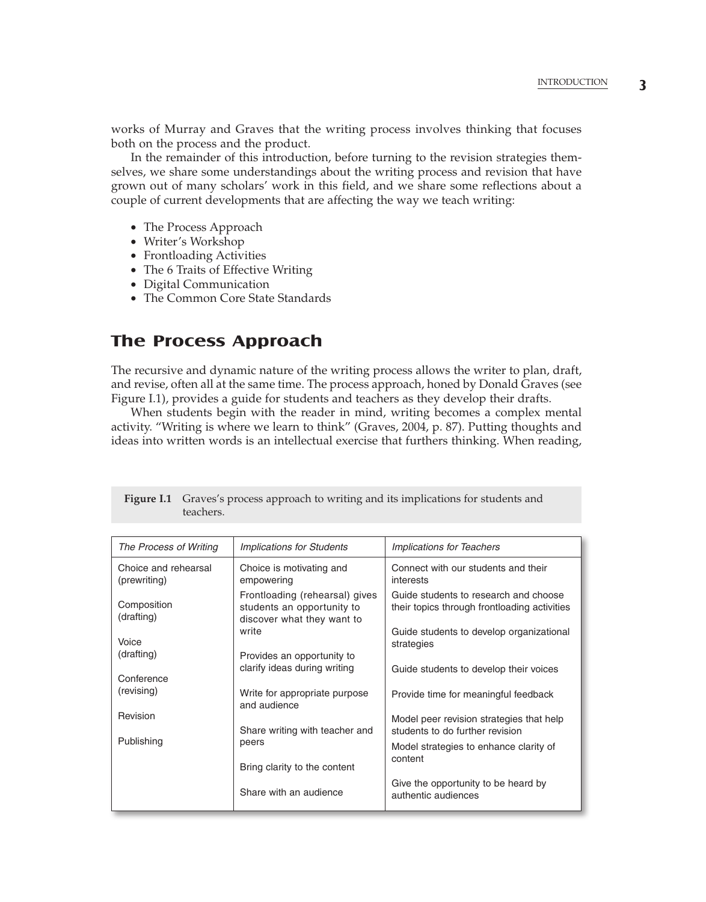works of Murray and Graves that the writing process involves thinking that focuses both on the process and the product.

In the remainder of this introduction, before turning to the revision strategies themselves, we share some understandings about the writing process and revision that have grown out of many scholars' work in this field, and we share some reflections about a couple of current developments that are affecting the way we teach writing:

- The Process Approach
- Writer's Workshop
- Frontloading Activities
- The 6 Traits of Effective Writing
- Digital Communication
- The Common Core State Standards

# **The Process Approach**

The recursive and dynamic nature of the writing process allows the writer to plan, draft, and revise, often all at the same time. The process approach, honed by Donald Graves (see Figure I.1), provides a guide for students and teachers as they develop their drafts.

When students begin with the reader in mind, writing becomes a complex mental activity. "Writing is where we learn to think" (Graves, 2004, p. 87). Putting thoughts and ideas into written words is an intellectual exercise that furthers thinking. When reading,

| The Process of Writing               | <b>Implications for Students</b>                                                           | <b>Implications for Teachers</b>                                                      |
|--------------------------------------|--------------------------------------------------------------------------------------------|---------------------------------------------------------------------------------------|
| Choice and rehearsal<br>(prewriting) | Choice is motivating and<br>empowering                                                     | Connect with our students and their<br>interests                                      |
| Composition<br>(drafting)            | Frontloading (rehearsal) gives<br>students an opportunity to<br>discover what they want to | Guide students to research and choose<br>their topics through frontloading activities |
| Voice                                | write                                                                                      | Guide students to develop organizational<br>strategies                                |
| (drafting)                           | Provides an opportunity to                                                                 |                                                                                       |
| Conference                           | clarify ideas during writing                                                               | Guide students to develop their voices                                                |
| (revising)                           | Write for appropriate purpose<br>and audience                                              | Provide time for meaningful feedback                                                  |
| Revision                             | Share writing with teacher and                                                             | Model peer revision strategies that help                                              |
| Publishing                           | peers                                                                                      | students to do further revision                                                       |
|                                      |                                                                                            | Model strategies to enhance clarity of                                                |
|                                      | Bring clarity to the content                                                               | content                                                                               |
|                                      | Share with an audience                                                                     | Give the opportunity to be heard by<br>authentic audiences                            |

**Figure I.1** Graves's process approach to writing and its implications for students and teachers.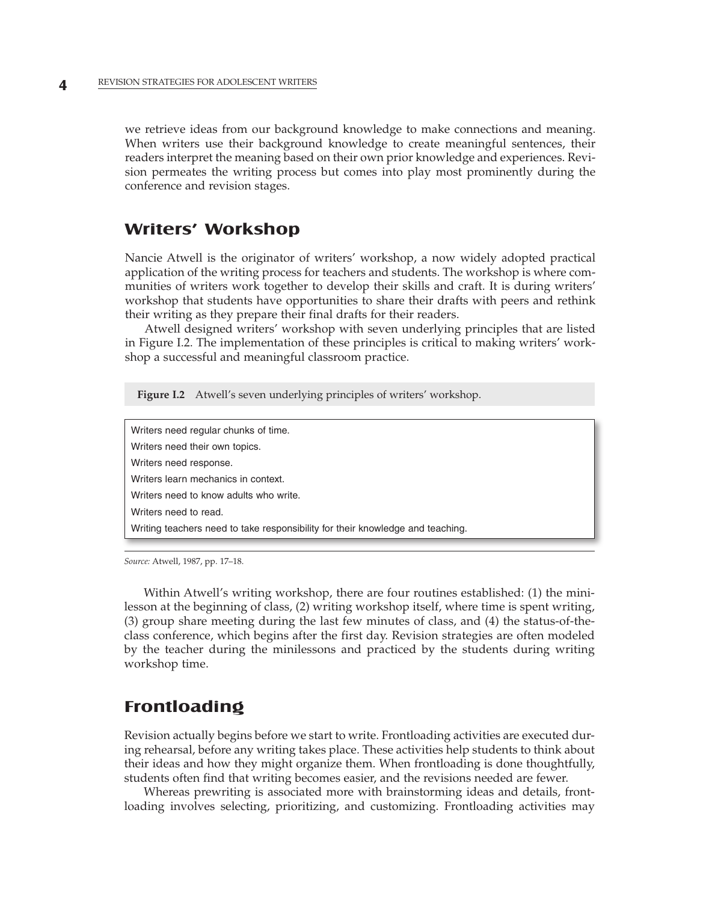we retrieve ideas from our background knowledge to make connections and meaning. When writers use their background knowledge to create meaningful sentences, their readers interpret the meaning based on their own prior knowledge and experiences. Revision permeates the writing process but comes into play most prominently during the conference and revision stages.

#### **Writers' Workshop**

Nancie Atwell is the originator of writers' workshop, a now widely adopted practical application of the writing process for teachers and students. The workshop is where communities of writers work together to develop their skills and craft. It is during writers' workshop that students have opportunities to share their drafts with peers and rethink their writing as they prepare their final drafts for their readers.

Atwell designed writers' workshop with seven underlying principles that are listed in Figure I.2. The implementation of these principles is critical to making writers' workshop a successful and meaningful classroom practice.

**Figure I.2** Atwell's seven underlying principles of writers' workshop.

| Writers need regular chunks of time.                                           |
|--------------------------------------------------------------------------------|
| Writers need their own topics.                                                 |
| Writers need response.                                                         |
| Writers learn mechanics in context.                                            |
| Writers need to know adults who write.                                         |
| Writers need to read.                                                          |
| Writing teachers need to take responsibility for their knowledge and teaching. |
|                                                                                |

*Source:* Atwell, 1987, pp. 17–18.

Within Atwell's writing workshop, there are four routines established: (1) the minilesson at the beginning of class, (2) writing workshop itself, where time is spent writing, (3) group share meeting during the last few minutes of class, and (4) the status-of-theclass conference, which begins after the first day. Revision strategies are often modeled by the teacher during the minilessons and practiced by the students during writing workshop time.

# **Frontloading**

Revision actually begins before we start to write. Frontloading activities are executed during rehearsal, before any writing takes place. These activities help students to think about their ideas and how they might organize them. When frontloading is done thoughtfully, students often find that writing becomes easier, and the revisions needed are fewer.

Whereas prewriting is associated more with brainstorming ideas and details, frontloading involves selecting, prioritizing, and customizing. Frontloading activities may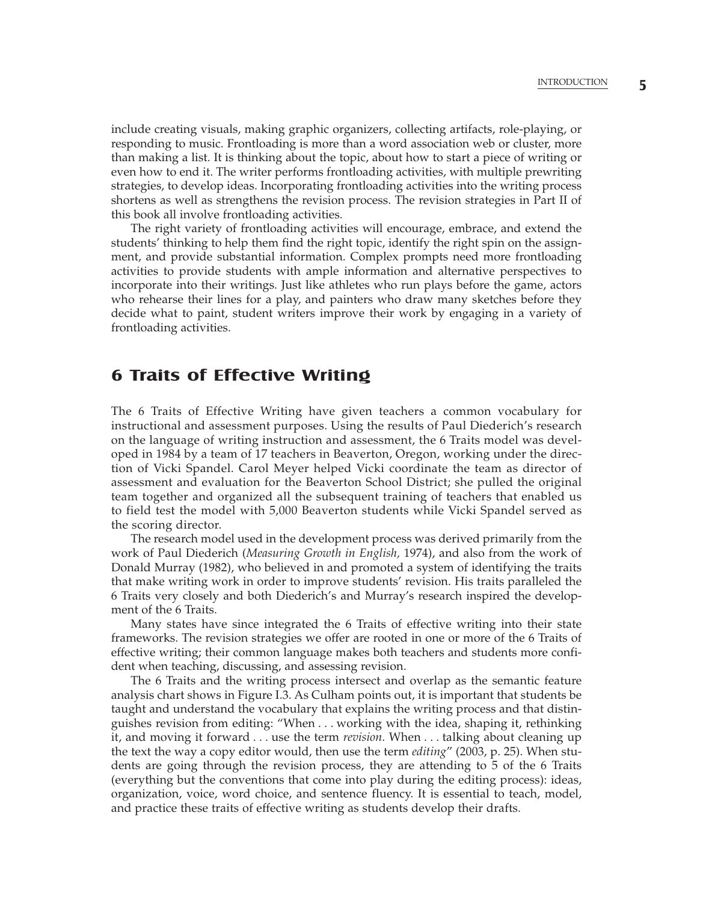include creating visuals, making graphic organizers, collecting artifacts, role-playing, or responding to music. Frontloading is more than a word association web or cluster, more than making a list. It is thinking about the topic, about how to start a piece of writing or even how to end it. The writer performs frontloading activities, with multiple prewriting strategies, to develop ideas. Incorporating frontloading activities into the writing process shortens as well as strengthens the revision process. The revision strategies in Part II of this book all involve frontloading activities.

The right variety of frontloading activities will encourage, embrace, and extend the students' thinking to help them find the right topic, identify the right spin on the assignment, and provide substantial information. Complex prompts need more frontloading activities to provide students with ample information and alternative perspectives to incorporate into their writings. Just like athletes who run plays before the game, actors who rehearse their lines for a play, and painters who draw many sketches before they decide what to paint, student writers improve their work by engaging in a variety of frontloading activities.

# **6 Traits of Effective Writing**

The 6 Traits of Effective Writing have given teachers a common vocabulary for instructional and assessment purposes. Using the results of Paul Diederich's research on the language of writing instruction and assessment, the 6 Traits model was developed in 1984 by a team of 17 teachers in Beaverton, Oregon, working under the direction of Vicki Spandel. Carol Meyer helped Vicki coordinate the team as director of assessment and evaluation for the Beaverton School District; she pulled the original team together and organized all the subsequent training of teachers that enabled us to field test the model with 5,000 Beaverton students while Vicki Spandel served as the scoring director.

The research model used in the development process was derived primarily from the work of Paul Diederich (*Measuring Growth in English,* 1974), and also from the work of Donald Murray (1982), who believed in and promoted a system of identifying the traits that make writing work in order to improve students' revision. His traits paralleled the 6 Traits very closely and both Diederich's and Murray's research inspired the development of the 6 Traits.

Many states have since integrated the 6 Traits of effective writing into their state frameworks. The revision strategies we offer are rooted in one or more of the 6 Traits of effective writing; their common language makes both teachers and students more confident when teaching, discussing, and assessing revision.

The 6 Traits and the writing process intersect and overlap as the semantic feature analysis chart shows in Figure I.3. As Culham points out, it is important that students be taught and understand the vocabulary that explains the writing process and that distinguishes revision from editing: "When . . . working with the idea, shaping it, rethinking it, and moving it forward . . . use the term *revision*. When . . . talking about cleaning up the text the way a copy editor would, then use the term *editing*" (2003, p. 25). When students are going through the revision process, they are attending to 5 of the 6 Traits (everything but the conventions that come into play during the editing process): ideas, organization, voice, word choice, and sentence fluency. It is essential to teach, model, and practice these traits of effective writing as students develop their drafts.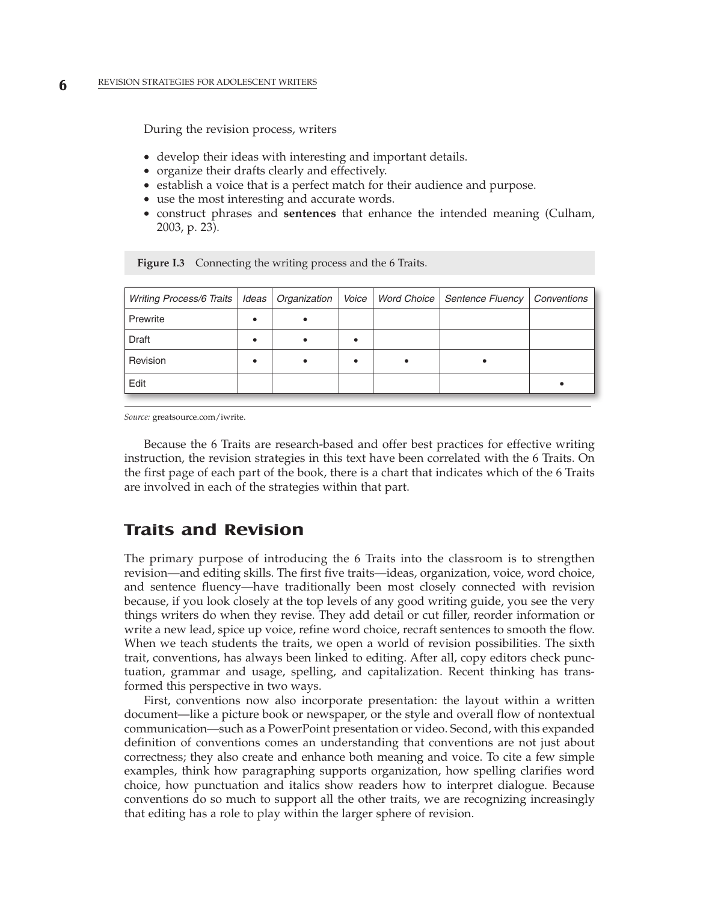During the revision process, writers

- develop their ideas with interesting and important details.
- organize their drafts clearly and effectively.
- establish a voice that is a perfect match for their audience and purpose.
- use the most interesting and accurate words.
- construct phrases and **sentences** that enhance the intended meaning (Culham, 2003, p. 23).

| Writing Process/6 Traits   Ideas   Organization   Voice   Word Choice   Sentence Fluency   Conventions |   |  |  |
|--------------------------------------------------------------------------------------------------------|---|--|--|
| Prewrite                                                                                               | ٠ |  |  |
| Draft                                                                                                  | ٠ |  |  |
| Revision                                                                                               |   |  |  |
| Edit                                                                                                   |   |  |  |

Figure I.3 Connecting the writing process and the 6 Traits.

*Source:* greatsource.com/iwrite.

Because the 6 Traits are research-based and offer best practices for effective writing instruction, the revision strategies in this text have been correlated with the 6 Traits. On the first page of each part of the book, there is a chart that indicates which of the 6 Traits are involved in each of the strategies within that part.

### **Traits and Revision**

The primary purpose of introducing the 6 Traits into the classroom is to strengthen revision—and editing skills. The first five traits—ideas, organization, voice, word choice, and sentence fluency—have traditionally been most closely connected with revision because, if you look closely at the top levels of any good writing guide, you see the very things writers do when they revise. They add detail or cut filler, reorder information or write a new lead, spice up voice, refine word choice, recraft sentences to smooth the flow. When we teach students the traits, we open a world of revision possibilities. The sixth trait, conventions, has always been linked to editing. After all, copy editors check punctuation, grammar and usage, spelling, and capitalization. Recent thinking has transformed this perspective in two ways.

First, conventions now also incorporate presentation: the layout within a written document—like a picture book or newspaper, or the style and overall flow of nontextual communication—such as a PowerPoint presentation or video. Second, with this expanded definition of conventions comes an understanding that conventions are not just about correctness; they also create and enhance both meaning and voice. To cite a few simple examples, think how paragraphing supports organization, how spelling clarifies word choice, how punctuation and italics show readers how to interpret dialogue. Because conventions do so much to support all the other traits, we are recognizing increasingly that editing has a role to play within the larger sphere of revision.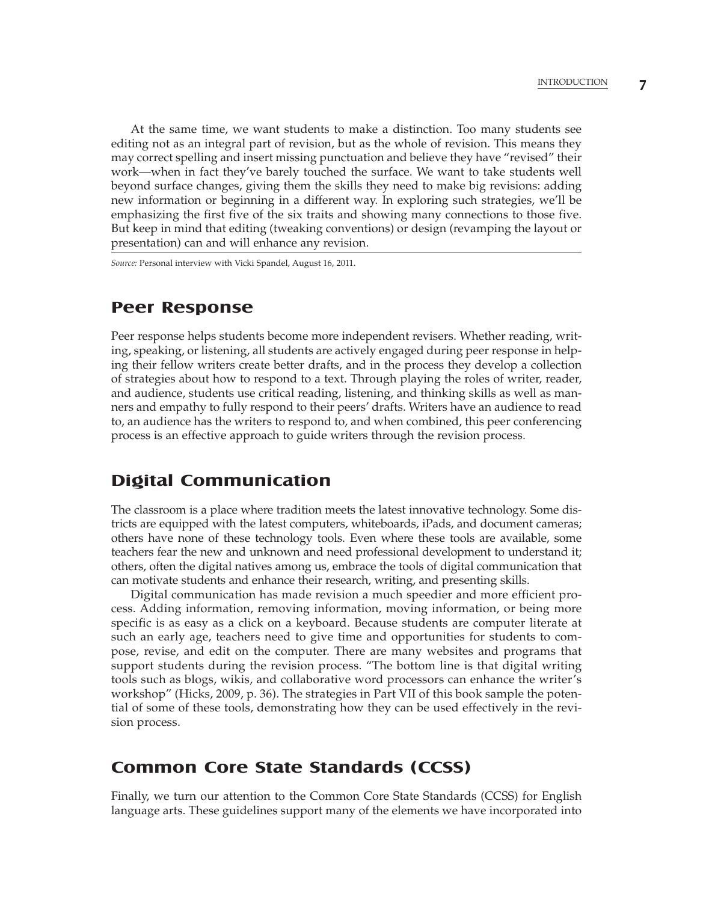At the same time, we want students to make a distinction. Too many students see editing not as an integral part of revision, but as the whole of revision. This means they may correct spelling and insert missing punctuation and believe they have "revised" their work—when in fact they've barely touched the surface. We want to take students well beyond surface changes, giving them the skills they need to make big revisions: adding new information or beginning in a different way. In exploring such strategies, we'll be emphasizing the first five of the six traits and showing many connections to those five. But keep in mind that editing (tweaking conventions) or design (revamping the layout or presentation) can and will enhance any revision.

*Source:* Personal interview with Vicki Spandel, August 16, 2011.

#### **Peer Response**

Peer response helps students become more independent revisers. Whether reading, writing, speaking, or listening, all students are actively engaged during peer response in helping their fellow writers create better drafts, and in the process they develop a collection of strategies about how to respond to a text. Through playing the roles of writer, reader, and audience, students use critical reading, listening, and thinking skills as well as manners and empathy to fully respond to their peers' drafts. Writers have an audience to read to, an audience has the writers to respond to, and when combined, this peer conferencing process is an effective approach to guide writers through the revision process.

# **Digital Communication**

The classroom is a place where tradition meets the latest innovative technology. Some districts are equipped with the latest computers, whiteboards, iPads, and document cameras; others have none of these technology tools. Even where these tools are available, some teachers fear the new and unknown and need professional development to understand it; others, often the digital natives among us, embrace the tools of digital communication that can motivate students and enhance their research, writing, and presenting skills.

Digital communication has made revision a much speedier and more efficient process. Adding information, removing information, moving information, or being more specific is as easy as a click on a keyboard. Because students are computer literate at such an early age, teachers need to give time and opportunities for students to compose, revise, and edit on the computer. There are many websites and programs that support students during the revision process. "The bottom line is that digital writing tools such as blogs, wikis, and collaborative word processors can enhance the writer's workshop" (Hicks, 2009, p. 36). The strategies in Part VII of this book sample the potential of some of these tools, demonstrating how they can be used effectively in the revision process.

### **Common Core State Standards (CCSS)**

Finally, we turn our attention to the Common Core State Standards (CCSS) for English language arts. These guidelines support many of the elements we have incorporated into